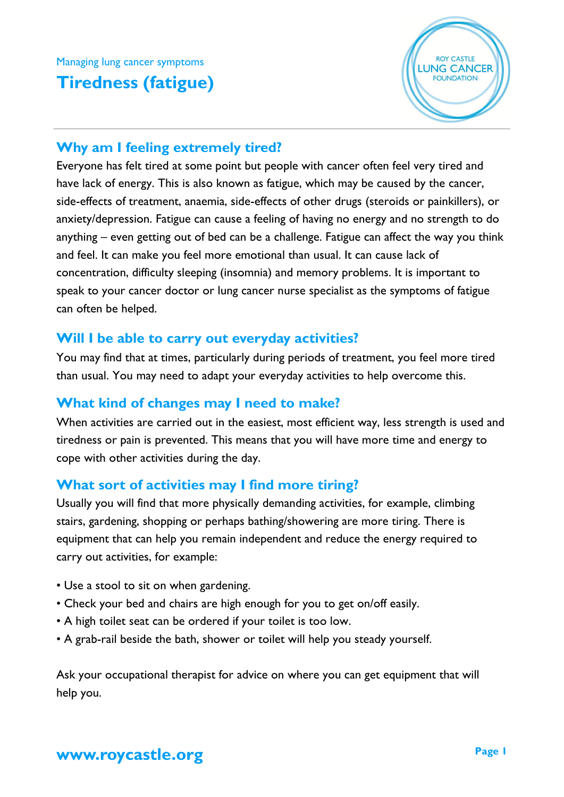Managing lung cancer symptoms

# **Tiredness (fatigue)**



#### **Why am I feeling extremely tired?**

Everyone has felt tired at some point but people with cancer often feel very tired and have lack of energy. This is also known as fatigue, which may be caused by the cancer, side-effects of treatment, anaemia, side-effects of other drugs (steroids or painkillers), or anxiety/depression. Fatigue can cause a feeling of having no energy and no strength to do anything – even getting out of bed can be a challenge. Fatigue can affect the way you think and feel. It can make you feel more emotional than usual. It can cause lack of concentration, difficulty sleeping (insomnia) and memory problems. It is important to speak to your cancer doctor or lung cancer nurse specialist as the symptoms of fatigue can often be helped.

### **Will I be able to carry out everyday activities?**

You may find that at times, particularly during periods of treatment, you feel more tired than usual. You may need to adapt your everyday activities to help overcome this.

### **What kind of changes may I need to make?**

When activities are carried out in the easiest, most efficient way, less strength is used and tiredness or pain is prevented. This means that you will have more time and energy to cope with other activities during the day.

## **What sort of activities may I find more tiring?**

Usually you will find that more physically demanding activities, for example, climbing stairs, gardening, shopping or perhaps bathing/showering are more tiring. There is equipment that can help you remain independent and reduce the energy required to carry out activities, for example:

- Use a stool to sit on when gardening.
- Check your bed and chairs are high enough for you to get on/off easily.
- A high toilet seat can be ordered if your toilet is too low.
- A grab-rail beside the bath, shower or toilet will help you steady yourself.

Ask your occupational therapist for advice on where you can get equipment that will help you.